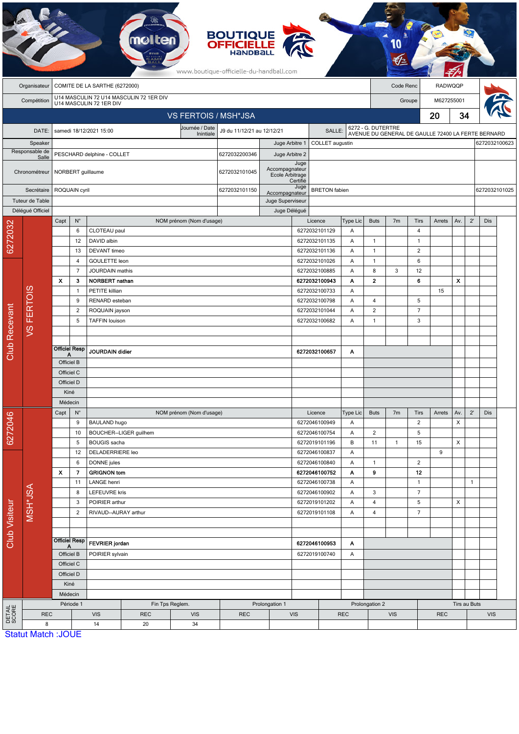|                           |                                  |                           |                                                 |                                                    |                                         |                                                           | <b>BOUTIQUE</b><br><b>OFFICIELLE</b><br>HANDBALL<br>www.boutique-officielle-du-handball.com |                                                       |                 |                                                                  |                                                                          |                      |                             |                        |            |                       |               |               |  |  |
|---------------------------|----------------------------------|---------------------------|-------------------------------------------------|----------------------------------------------------|-----------------------------------------|-----------------------------------------------------------|---------------------------------------------------------------------------------------------|-------------------------------------------------------|-----------------|------------------------------------------------------------------|--------------------------------------------------------------------------|----------------------|-----------------------------|------------------------|------------|-----------------------|---------------|---------------|--|--|
|                           | Organisateur                     |                           | COMITE DE LA SARTHE (6272000)                   |                                                    |                                         |                                                           |                                                                                             |                                                       |                 |                                                                  |                                                                          |                      | Code Renc<br><b>RADWQQP</b> |                        |            |                       |               |               |  |  |
|                           | Compétition                      |                           |                                                 | U14 MASCULIN 72 1ER DIV                            | U14 MASCULIN 72 U14 MASCULIN 72 1ER DIV |                                                           |                                                                                             |                                                       |                 |                                                                  |                                                                          | M627255001<br>Groupe |                             |                        |            |                       |               |               |  |  |
|                           |                                  |                           |                                                 |                                                    |                                         | <b>VS FERTOIS / MSH*JSA</b>                               |                                                                                             |                                                       |                 |                                                                  |                                                                          |                      |                             |                        | 20<br>34   |                       |               |               |  |  |
|                           |                                  |                           |                                                 | samedi 18/12/2021 15:00                            |                                         | Journée / Date<br>J9 du 11/12/21 au 12/12/21<br>Inintiale |                                                                                             |                                                       | <b>SALLE</b>    |                                                                  | 6272 - G. DUTERTRE<br>AVENUE DU GENERAL DE GAULLE 72400 LA FERTE BERNARD |                      |                             |                        |            |                       |               |               |  |  |
| DATE:                     |                                  |                           |                                                 |                                                    |                                         |                                                           | Juge Arbitre 1                                                                              |                                                       | COLLET augustin |                                                                  |                                                                          |                      |                             |                        |            |                       | 6272032100623 |               |  |  |
| Speaker<br>Responsable de |                                  |                           |                                                 | PESCHARD delphine - COLLET                         | 6272032200346                           | Juge Arbitre 2                                            |                                                                                             |                                                       |                 |                                                                  |                                                                          |                      |                             |                        |            |                       |               |               |  |  |
| Salle<br>Chronométreur    |                                  |                           |                                                 | NORBERT guillaume                                  |                                         |                                                           | 6272032101045                                                                               | Juge<br>Accompagnateur<br>Ecole Arbitrage<br>Certifié |                 |                                                                  |                                                                          |                      |                             |                        |            |                       |               |               |  |  |
| Secrétaire                |                                  |                           | ROQUAIN cyril                                   |                                                    |                                         |                                                           | 6272032101150                                                                               | Juge<br>Accompagnateur                                |                 | <b>BRETON</b> fabien                                             |                                                                          |                      |                             |                        |            |                       |               | 6272032101025 |  |  |
| Tuteur de Table           |                                  |                           |                                                 |                                                    |                                         |                                                           |                                                                                             | Juge Superviseur                                      |                 |                                                                  |                                                                          |                      |                             |                        |            |                       |               |               |  |  |
|                           | Délégué Officiel                 |                           |                                                 |                                                    |                                         |                                                           | Juge Délégué                                                                                |                                                       |                 |                                                                  |                                                                          |                      |                             |                        |            |                       |               |               |  |  |
|                           |                                  | Capt                      | $N^{\circ}$<br>CLOTEAU paul<br>6<br>DAVID albin |                                                    |                                         | NOM prénom (Nom d'usage)                                  |                                                                                             |                                                       | 6272032101129   | Licence                                                          |                                                                          | <b>Buts</b>          | 7 <sub>m</sub>              | Tirs                   | Arrets     | Av.                   | $2^{\prime}$  | Dis           |  |  |
| 6272032                   |                                  |                           |                                                 |                                                    |                                         |                                                           |                                                                                             |                                                       |                 |                                                                  | A<br>Α                                                                   | $\mathbf{1}$         |                             | 4<br>$\overline{1}$    |            |                       |               |               |  |  |
|                           |                                  |                           | 12<br>13                                        | <b>DEVANT</b> timeo                                |                                         |                                                           |                                                                                             |                                                       |                 | 6272032101135<br>6272032101136                                   | Α                                                                        | $\mathbf{1}$         |                             | $\overline{c}$         |            |                       |               |               |  |  |
|                           |                                  | 4                         |                                                 | GOULETTE leon                                      |                                         |                                                           |                                                                                             |                                                       |                 | 6272032101026                                                    | Α                                                                        | $\mathbf{1}$         |                             | 6                      |            |                       |               |               |  |  |
|                           |                                  |                           | $\overline{7}$                                  | <b>JOURDAIN</b> mathis                             |                                         |                                                           |                                                                                             |                                                       |                 | 6272032100885                                                    | Α                                                                        | 8                    | 3                           | 12                     |            |                       |               |               |  |  |
|                           |                                  | $\boldsymbol{\mathsf{x}}$ | 3                                               | <b>NORBERT</b> nathan                              |                                         |                                                           |                                                                                             |                                                       |                 | 6272032100943                                                    | A                                                                        | $\mathbf{2}$         |                             | 6                      |            | X                     |               |               |  |  |
|                           | <b>FERTOIS</b><br>$\overline{S}$ |                           | $\mathbf{1}$                                    | PETITE killian<br>RENARD esteban<br>ROQUAIN jayson |                                         |                                                           |                                                                                             |                                                       |                 | 6272032100733<br>6272032100798<br>6272032101044<br>6272032100682 |                                                                          |                      |                             |                        | 15         |                       |               |               |  |  |
|                           |                                  |                           | 9                                               |                                                    |                                         |                                                           |                                                                                             |                                                       |                 |                                                                  |                                                                          | 4                    |                             | 5                      |            |                       |               |               |  |  |
|                           |                                  |                           | 2                                               |                                                    |                                         |                                                           |                                                                                             |                                                       |                 |                                                                  |                                                                          | $\overline{2}$       |                             | $\overline{7}$         |            |                       |               |               |  |  |
| Club Recevant             |                                  |                           | 5                                               | <b>TAFFIN louison</b>                              |                                         |                                                           |                                                                                             |                                                       |                 |                                                                  | A                                                                        | $\mathbf{1}$         |                             | 3                      |            |                       |               |               |  |  |
|                           |                                  |                           |                                                 |                                                    |                                         |                                                           |                                                                                             |                                                       |                 |                                                                  |                                                                          |                      |                             |                        |            |                       |               |               |  |  |
|                           |                                  | <b>Officiel Resp</b><br>А |                                                 | JOURDAIN didier                                    |                                         |                                                           |                                                                                             |                                                       |                 | 6272032100657                                                    | A                                                                        |                      |                             |                        |            |                       |               |               |  |  |
|                           |                                  | Officiel B                |                                                 |                                                    |                                         |                                                           |                                                                                             |                                                       |                 |                                                                  |                                                                          |                      |                             |                        |            |                       |               |               |  |  |
|                           |                                  | Officiel C                |                                                 |                                                    |                                         |                                                           |                                                                                             |                                                       |                 |                                                                  |                                                                          |                      |                             |                        |            |                       |               |               |  |  |
|                           |                                  | Officiel D                |                                                 |                                                    |                                         |                                                           |                                                                                             |                                                       |                 |                                                                  |                                                                          |                      |                             |                        |            |                       |               |               |  |  |
|                           |                                  | Kiné                      |                                                 |                                                    |                                         |                                                           |                                                                                             |                                                       |                 |                                                                  |                                                                          |                      |                             |                        |            |                       |               |               |  |  |
|                           |                                  | Médecin                   |                                                 |                                                    |                                         |                                                           |                                                                                             |                                                       |                 |                                                                  |                                                                          |                      |                             |                        |            |                       |               |               |  |  |
|                           |                                  | Capt                      | $N^{\circ}$<br>9                                | <b>BAULAND hugo</b>                                |                                         | NOM prénom (Nom d'usage)                                  |                                                                                             |                                                       |                 | Licence<br>6272046100949                                         | Type Lic<br>Α                                                            | <b>Buts</b>          | 7 <sub>m</sub>              | Tirs<br>$\overline{2}$ | Arrets     | Av.<br>$\pmb{\times}$ | $2^{\prime}$  | Dis           |  |  |
| 6272046                   |                                  |                           | 10                                              |                                                    | BOUCHER--LIGER guilhem                  |                                                           |                                                                                             |                                                       |                 | 6272046100754                                                    | Α                                                                        | $\overline{2}$       |                             | 5                      |            |                       |               |               |  |  |
|                           |                                  |                           | 5                                               | <b>BOUGIS</b> sacha                                |                                         |                                                           |                                                                                             |                                                       |                 | 6272019101196                                                    | В                                                                        | 11                   | $\mathbf{1}$                | 15                     |            | X                     |               |               |  |  |
|                           |                                  |                           | 12                                              | DELADERRIERE leo                                   |                                         |                                                           |                                                                                             |                                                       |                 | 6272046100837                                                    | A                                                                        |                      |                             |                        | 9          |                       |               |               |  |  |
|                           |                                  |                           | 6                                               | DONNE jules                                        |                                         |                                                           |                                                                                             |                                                       |                 | 6272046100840                                                    | Α<br>Α                                                                   | 1                    |                             | $\overline{c}$         |            |                       |               |               |  |  |
|                           |                                  | X<br>7                    |                                                 |                                                    | <b>GRIGNON tom</b>                      |                                                           |                                                                                             |                                                       |                 | 6272046100752                                                    |                                                                          | 9                    |                             | 12                     |            |                       |               |               |  |  |
|                           | MSH*JSA                          | 11                        |                                                 | LANGE henri                                        |                                         |                                                           |                                                                                             |                                                       |                 | 6272046100738                                                    | Α                                                                        |                      |                             | $\overline{1}$         |            |                       | $\mathbf{1}$  |               |  |  |
|                           |                                  | 8<br>3                    |                                                 | <b>LEFEUVRE kris</b><br>POIRIER arthur             |                                         |                                                           |                                                                                             | 6272046100902<br>6272019101202                        |                 | A<br>A                                                           | 3<br>4                                                                   |                      | $\overline{7}$<br>5         |                        | X          |                       |               |               |  |  |
|                           |                                  | $\overline{2}$            |                                                 | RIVAUD--AURAY arthur                               |                                         |                                                           |                                                                                             | 6272019101108                                         |                 | Α                                                                | 4                                                                        |                      | $\overline{7}$              |                        |            |                       |               |               |  |  |
| Club Visiteur             |                                  |                           |                                                 |                                                    |                                         |                                                           |                                                                                             |                                                       |                 |                                                                  |                                                                          |                      |                             |                        |            |                       |               |               |  |  |
|                           |                                  |                           |                                                 |                                                    |                                         |                                                           |                                                                                             |                                                       |                 |                                                                  |                                                                          |                      |                             |                        |            |                       |               |               |  |  |
|                           |                                  | Officiel Resp             |                                                 | <b>FEVRIER</b> jordan                              |                                         |                                                           |                                                                                             | 6272046100953<br>Α                                    |                 |                                                                  |                                                                          |                      |                             |                        |            |                       |               |               |  |  |
|                           |                                  | Officiel B                |                                                 | POIRIER sylvain                                    |                                         |                                                           |                                                                                             | 6272019100740<br>A                                    |                 |                                                                  |                                                                          |                      |                             |                        |            |                       |               |               |  |  |
|                           |                                  | Officiel C<br>Officiel D  |                                                 |                                                    |                                         |                                                           |                                                                                             |                                                       |                 |                                                                  |                                                                          |                      |                             |                        |            |                       |               |               |  |  |
|                           |                                  | Kiné                      |                                                 |                                                    |                                         |                                                           |                                                                                             |                                                       |                 |                                                                  |                                                                          |                      |                             |                        |            |                       |               |               |  |  |
|                           |                                  |                           | Médecin                                         |                                                    |                                         |                                                           |                                                                                             |                                                       |                 |                                                                  |                                                                          |                      |                             |                        |            |                       |               |               |  |  |
|                           |                                  |                           | Période 1                                       |                                                    |                                         | Fin Tps Reglem.                                           |                                                                                             | Prolongation 1                                        |                 |                                                                  |                                                                          | Prolongation 2       |                             |                        |            |                       |               | Tirs au Buts  |  |  |
| DETAIL<br>SCORE           | <b>REC</b>                       |                           |                                                 | <b>VIS</b>                                         | <b>REC</b>                              | <b>VIS</b>                                                | <b>REC</b>                                                                                  |                                                       | <b>VIS</b>      | <b>REC</b>                                                       |                                                                          | <b>VIS</b>           |                             |                        | <b>REC</b> |                       | <b>VIS</b>    |               |  |  |
|                           | 8<br><b>Statut Match: JOUE</b>   |                           |                                                 | 14                                                 | 20                                      | 34                                                        |                                                                                             |                                                       |                 |                                                                  |                                                                          |                      |                             |                        |            |                       |               |               |  |  |